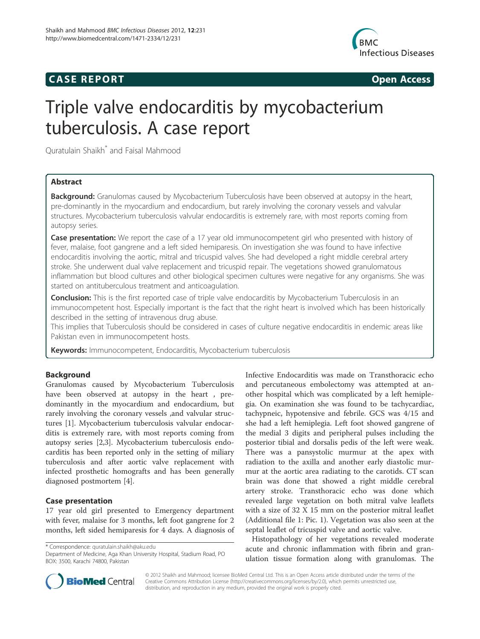## **CASE REPORT CASE REPORT**



# Triple valve endocarditis by mycobacterium tuberculosis. A case report

Quratulain Shaikh\* and Faisal Mahmood

## Abstract

Background: Granulomas caused by Mycobacterium Tuberculosis have been observed at autopsy in the heart, pre-dominantly in the myocardium and endocardium, but rarely involving the coronary vessels and valvular structures. Mycobacterium tuberculosis valvular endocarditis is extremely rare, with most reports coming from autopsy series.

Case presentation: We report the case of a 17 year old immunocompetent girl who presented with history of fever, malaise, foot gangrene and a left sided hemiparesis. On investigation she was found to have infective endocarditis involving the aortic, mitral and tricuspid valves. She had developed a right middle cerebral artery stroke. She underwent dual valve replacement and tricuspid repair. The vegetations showed granulomatous inflammation but blood cultures and other biological specimen cultures were negative for any organisms. She was started on antituberculous treatment and anticoagulation.

Conclusion: This is the first reported case of triple valve endocarditis by Mycobacterium Tuberculosis in an immunocompetent host. Especially important is the fact that the right heart is involved which has been historically described in the setting of intravenous drug abuse.

This implies that Tuberculosis should be considered in cases of culture negative endocarditis in endemic areas like Pakistan even in immunocompetent hosts.

**Keywords:** Immunocompetent, Endocarditis, Mycobacterium tuberculosis

## Background

Granulomas caused by Mycobacterium Tuberculosis have been observed at autopsy in the heart , predominantly in the myocardium and endocardium, but rarely involving the coronary vessels ,and valvular structures [1]. Mycobacterium tuberculosis valvular endocarditis is extremely rare, with most reports coming from autopsy series [2,3]. Mycobacterium tuberculosis endocarditis has been reported only in the setting of miliary tuberculosis and after aortic valve replacement with infected prosthetic homografts and has been generally diagnosed postmortem [4].

## Case presentation

17 year old girl presented to Emergency department with fever, malaise for 3 months, left foot gangrene for 2 months, left sided hemiparesis for 4 days. A diagnosis of

\* Correspondence: quratulain.shaikh@aku.edu

Department of Medicine, Aga Khan University Hospital, Stadium Road, PO BOX: 3500, Karachi 74800, Pakistan

Infective Endocarditis was made on Transthoracic echo and percutaneous embolectomy was attempted at another hospital which was complicated by a left hemiplegia. On examination she was found to be tachycardiac, tachypneic, hypotensive and febrile. GCS was 4/15 and she had a left hemiplegia. Left foot showed gangrene of the medial 3 digits and peripheral pulses including the posterior tibial and dorsalis pedis of the left were weak. There was a pansystolic murmur at the apex with radiation to the axilla and another early diastolic murmur at the aortic area radiating to the carotids. CT scan brain was done that showed a right middle cerebral artery stroke. Transthoracic echo was done which revealed large vegetation on both mitral valve leaflets with a size of 32 X 15 mm on the posterior mitral leaflet (Additional file 1: Pic. 1). Vegetation was also seen at the septal leaflet of tricuspid valve and aortic valve.

Histopathology of her vegetations revealed moderate acute and chronic inflammation with fibrin and granulation tissue formation along with granulomas. The



© 2012 Shaikh and Mahmood; licensee BioMed Central Ltd. This is an Open Access article distributed under the terms of the Creative Commons Attribution License (http://creativecommons.org/licenses/by/2.0), which permits unrestricted use, distribution, and reproduction in any medium, provided the original work is properly cited.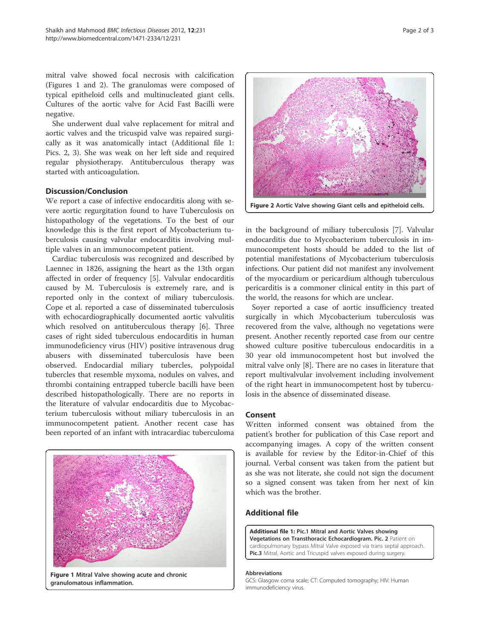mitral valve showed focal necrosis with calcification (Figures 1 and 2). The granulomas were composed of typical epitheloid cells and multinucleated giant cells. Cultures of the aortic valve for Acid Fast Bacilli were negative.

She underwent dual valve replacement for mitral and aortic valves and the tricuspid valve was repaired surgically as it was anatomically intact (Additional file 1: Pics. 2, 3). She was weak on her left side and required regular physiotherapy. Antituberculous therapy was started with anticoagulation.

## Discussion/Conclusion

We report a case of infective endocarditis along with severe aortic regurgitation found to have Tuberculosis on histopathology of the vegetations. To the best of our knowledge this is the first report of Mycobacterium tuberculosis causing valvular endocarditis involving multiple valves in an immunocompetent patient.

Cardiac tuberculosis was recognized and described by Laennec in 1826, assigning the heart as the 13th organ affected in order of frequency [5]. Valvular endocarditis caused by M. Tuberculosis is extremely rare, and is reported only in the context of miliary tuberculosis. Cope et al. reported a case of disseminated tuberculosis with echocardiographically documented aortic valvulitis which resolved on antituberculous therapy [6]. Three cases of right sided tuberculous endocarditis in human immunodeficiency virus (HIV) positive intravenous drug abusers with disseminated tuberculosis have been observed. Endocardial miliary tubercles, polypoidal tubercles that resemble myxoma, nodules on valves, and thrombi containing entrapped tubercle bacilli have been described histopathologically. There are no reports in the literature of valvular endocarditis due to Mycobacterium tuberculosis without miliary tuberculosis in an immunocompetent patient. Another recent case has been reported of an infant with intracardiac tuberculoma



Figure 1 Mitral Valve showing acute and chronic granulomatous inflammation.



in the background of miliary tuberculosis [7]. Valvular endocarditis due to Mycobacterium tuberculosis in immunocompetent hosts should be added to the list of potential manifestations of Mycobacterium tuberculosis infections. Our patient did not manifest any involvement of the myocardium or pericardium although tuberculous pericarditis is a commoner clinical entity in this part of the world, the reasons for which are unclear.

Soyer reported a case of aortic insufficiency treated surgically in which Mycobacterium tuberculosis was recovered from the valve, although no vegetations were present. Another recently reported case from our centre showed culture positive tuberculous endocarditis in a 30 year old immunocompetent host but involved the mitral valve only [8]. There are no cases in literature that report multivalvular involvement including involvement of the right heart in immunocompetent host by tuberculosis in the absence of disseminated disease.

### Consent

Written informed consent was obtained from the patient's brother for publication of this Case report and accompanying images. A copy of the written consent is available for review by the Editor-in-Chief of this journal. Verbal consent was taken from the patient but as she was not literate, she could not sign the document so a signed consent was taken from her next of kin which was the brother.

## Additional file

Additional file 1: Pic.1 Mitral and Aortic Valves showing Vegetations on Transthoracic Echocardiogram. Pic. 2 Patient on cardiopulmonary bypass Mitral Valve exposed via trans septal approach. Pic.3 Mitral, Aortic and Tricuspid valves exposed during surgery.

#### Abbreviations

GCS: Glasgow coma scale; CT: Computed tomography; HIV: Human immunodeficiency virus.